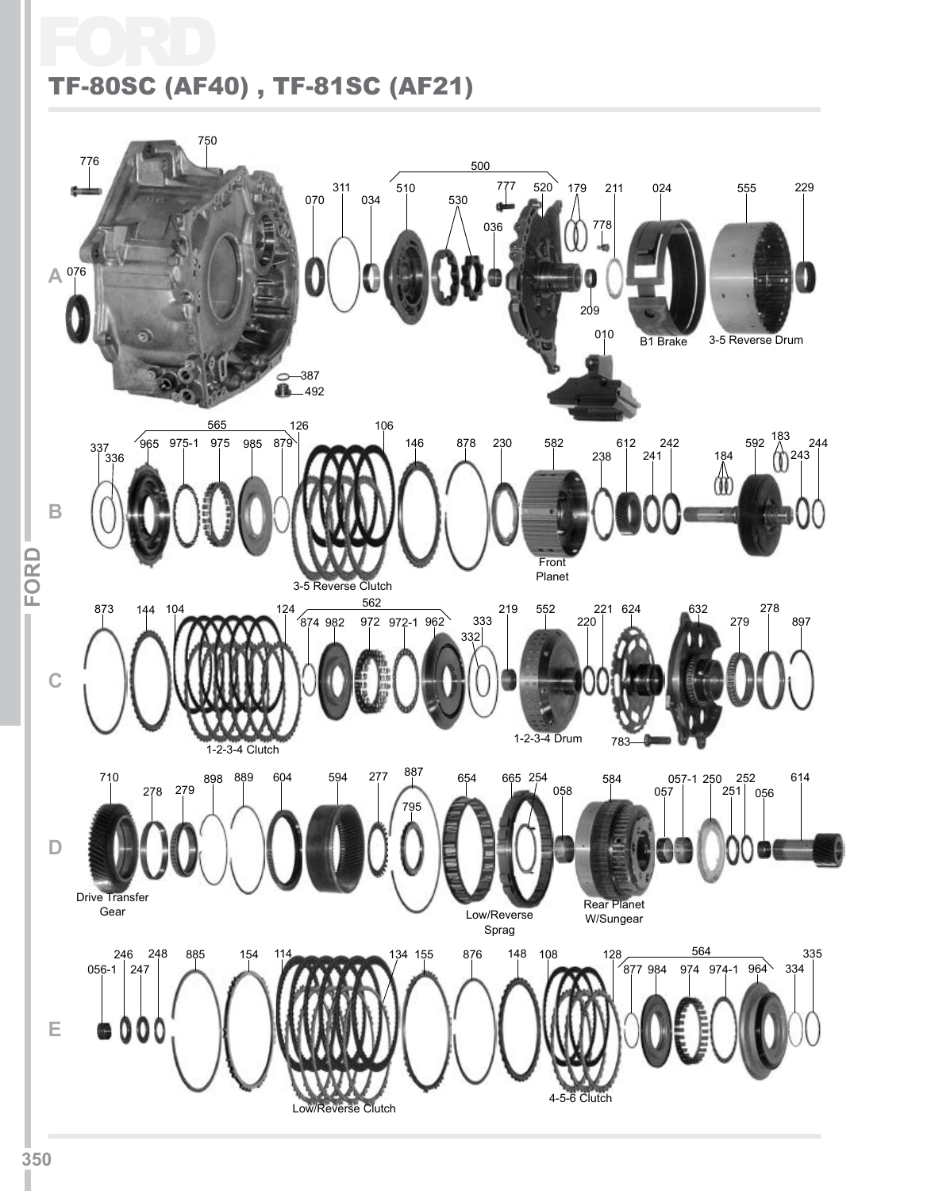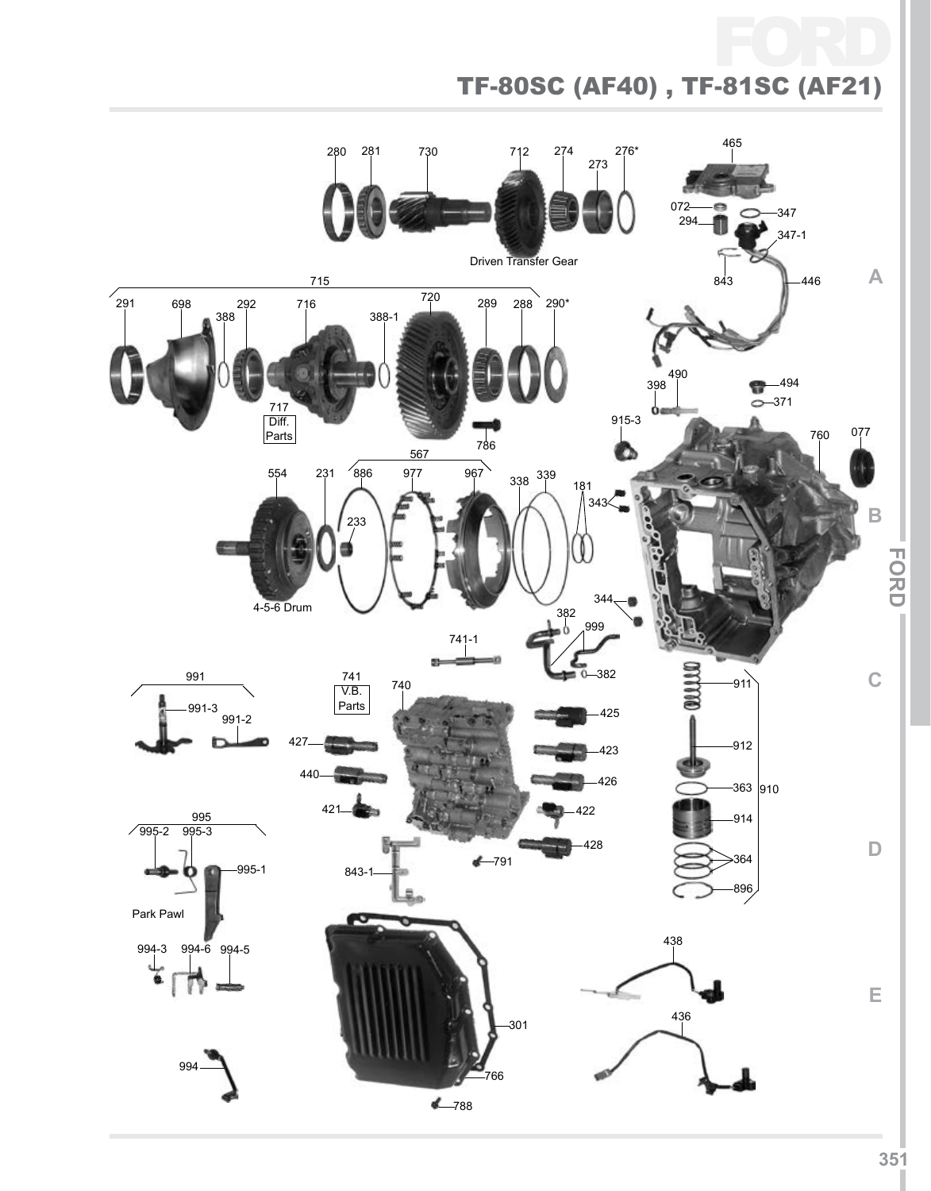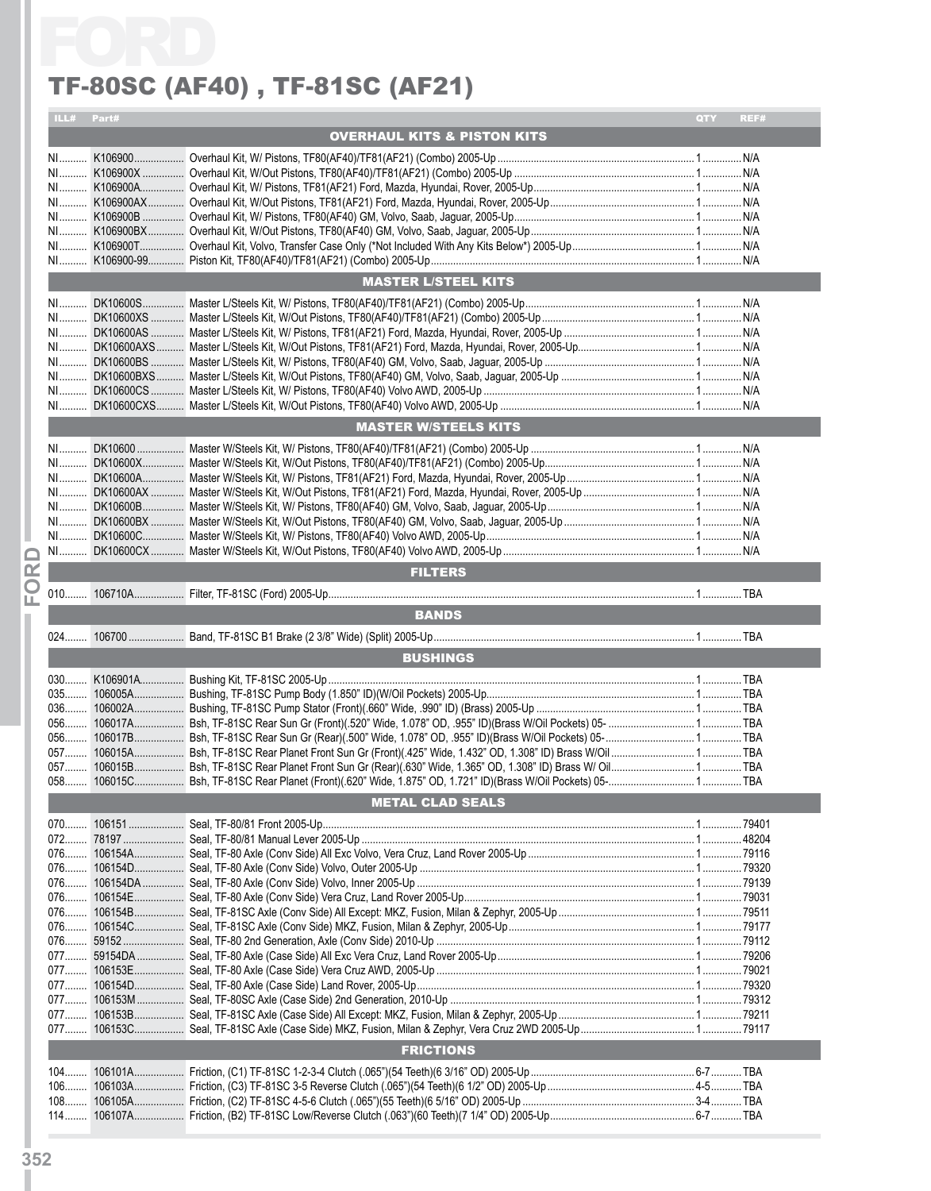|            |         | TF-80SC (AF40), TF-81SC (AF21)         |     |       |
|------------|---------|----------------------------------------|-----|-------|
| ILL# Part# |         |                                        | QTY | REF#  |
|            |         | <b>OVERHAUL KITS &amp; PISTON KITS</b> |     |       |
|            |         |                                        |     |       |
|            |         |                                        |     |       |
|            |         |                                        |     |       |
|            |         |                                        |     |       |
|            |         |                                        |     |       |
|            |         |                                        |     |       |
|            |         |                                        |     |       |
|            |         | <b>MASTER L/STEEL KITS</b>             |     |       |
|            |         |                                        |     |       |
| $N1$       |         |                                        |     |       |
|            |         |                                        |     |       |
|            |         |                                        |     |       |
|            |         |                                        |     |       |
|            |         |                                        |     |       |
|            |         |                                        |     |       |
|            |         |                                        |     |       |
|            |         | <b>MASTER W/STEELS KITS</b>            |     |       |
| $N1$       |         |                                        |     |       |
| NI         |         |                                        |     |       |
| $N1$       |         |                                        |     |       |
|            |         |                                        |     |       |
|            |         |                                        |     |       |
|            |         |                                        |     |       |
|            |         |                                        |     |       |
|            |         | <b>FILTERS</b>                         |     |       |
|            |         |                                        |     |       |
|            |         | <b>BANDS</b>                           |     |       |
| $024$      |         |                                        |     |       |
|            |         | <b>BUSHINGS</b>                        |     |       |
|            |         |                                        |     |       |
| $030$      |         |                                        |     |       |
| 035        | 106005A |                                        |     | . TBA |
|            |         |                                        |     |       |
| $056$      |         |                                        |     |       |
|            |         |                                        |     |       |
|            |         |                                        |     |       |
|            |         |                                        |     |       |
|            |         | <b>METAL CLAD SEALS</b>                |     |       |
|            |         |                                        |     |       |
| 072        |         |                                        |     |       |
|            |         |                                        |     |       |
|            |         |                                        |     |       |
|            |         |                                        |     |       |
|            |         |                                        |     |       |
|            |         |                                        |     |       |
|            |         |                                        |     |       |
|            |         |                                        |     |       |
|            |         |                                        |     |       |
|            |         |                                        |     |       |
|            |         |                                        |     |       |
|            |         |                                        |     |       |
|            |         | <b>FRICTIONS</b>                       |     |       |
|            |         |                                        |     |       |
| $104$      |         |                                        |     |       |
|            |         |                                        |     |       |
|            |         |                                        |     |       |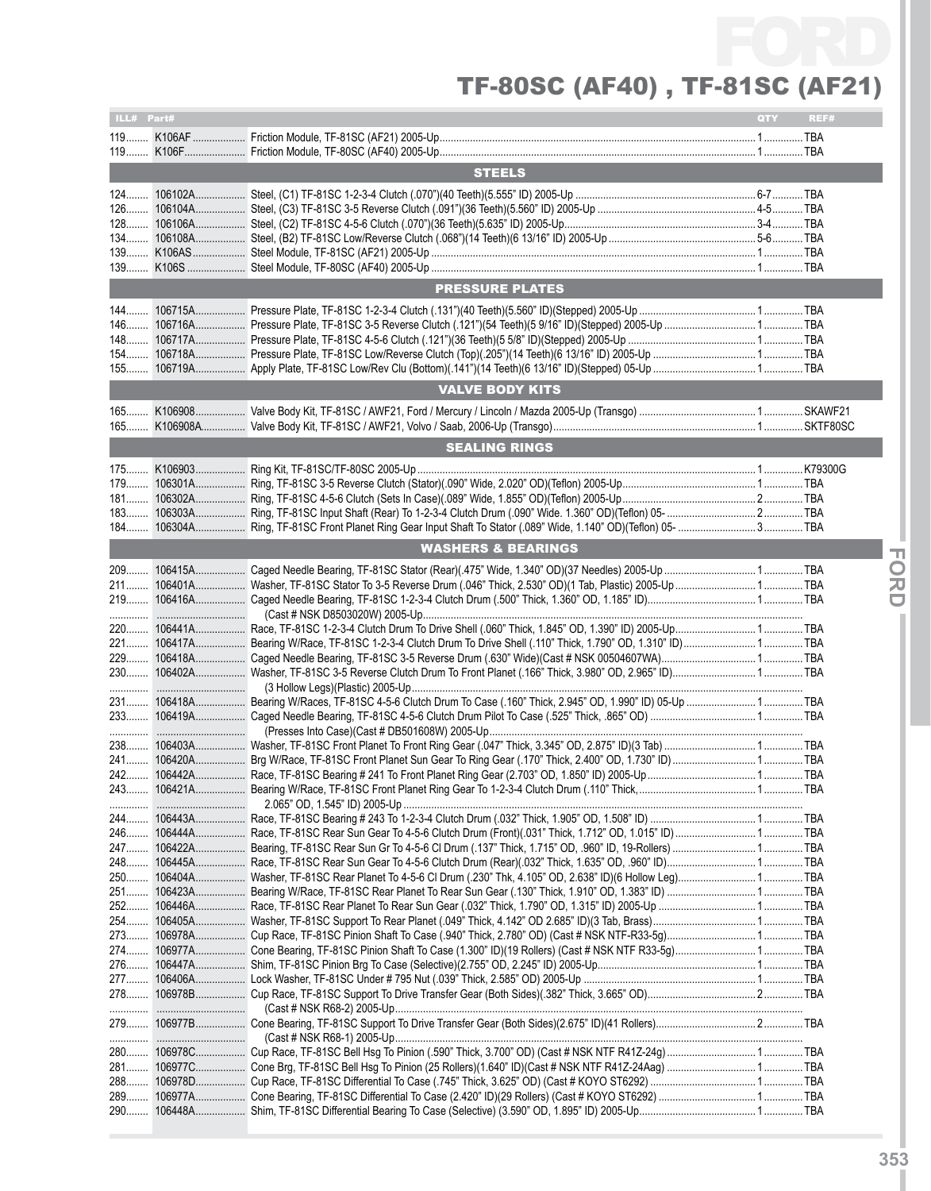| ILL# Part# |                                                                                                         | QTY | REF# |
|------------|---------------------------------------------------------------------------------------------------------|-----|------|
|            |                                                                                                         |     |      |
|            |                                                                                                         |     |      |
|            | <b>STEELS</b>                                                                                           |     |      |
|            |                                                                                                         |     |      |
|            |                                                                                                         |     |      |
|            |                                                                                                         |     |      |
| $134$      |                                                                                                         |     |      |
|            |                                                                                                         |     |      |
|            |                                                                                                         |     |      |
|            |                                                                                                         |     |      |
|            | <b>PRESSURE PLATES</b>                                                                                  |     |      |
|            |                                                                                                         |     |      |
|            |                                                                                                         |     |      |
|            |                                                                                                         |     |      |
|            |                                                                                                         |     |      |
|            |                                                                                                         |     |      |
|            | <b>VALVE BODY KITS</b>                                                                                  |     |      |
|            |                                                                                                         |     |      |
|            |                                                                                                         |     |      |
|            | <b>SEALING RINGS</b>                                                                                    |     |      |
|            |                                                                                                         |     |      |
|            |                                                                                                         |     |      |
| 179        |                                                                                                         |     |      |
| $181$      |                                                                                                         |     |      |
| $183$      |                                                                                                         |     |      |
|            |                                                                                                         |     |      |
|            | <b>WASHERS &amp; BEARINGS</b>                                                                           |     |      |
| 209        |                                                                                                         |     |      |
|            |                                                                                                         |     |      |
|            |                                                                                                         |     |      |
|            |                                                                                                         |     |      |
|            |                                                                                                         |     |      |
|            |                                                                                                         |     |      |
| 229<br>230 | 106418A Caged Needle Bearing, TF-81SC 3-5 Reverse Drum (.630" Wide)(Cast # NSK 00504607WA) TBA          |     |      |
| .          |                                                                                                         |     |      |
|            |                                                                                                         |     |      |
|            |                                                                                                         |     |      |
|            |                                                                                                         |     |      |
|            |                                                                                                         |     |      |
|            |                                                                                                         |     |      |
|            |                                                                                                         |     |      |
|            |                                                                                                         |     |      |
|            |                                                                                                         |     |      |
|            |                                                                                                         |     |      |
| 246        | 106444A Race, TF-81SC Rear Sun Gear To 4-5-6 Clutch Drum (Front)(.031" Thick, 1.712" OD, 1.015" ID) TBA |     |      |
|            |                                                                                                         |     |      |
| 248<br>250 |                                                                                                         |     |      |
| 251        |                                                                                                         |     |      |
| 252        |                                                                                                         |     |      |
|            |                                                                                                         |     |      |
|            |                                                                                                         |     |      |
| 274        |                                                                                                         |     |      |
| 276        |                                                                                                         |     |      |
| 277        |                                                                                                         |     |      |
|            |                                                                                                         |     |      |
|            |                                                                                                         |     |      |
|            |                                                                                                         |     |      |
|            |                                                                                                         |     |      |
|            |                                                                                                         |     |      |
|            |                                                                                                         |     |      |
| 289………     |                                                                                                         |     |      |
|            |                                                                                                         |     |      |
|            |                                                                                                         |     |      |

**IFor**

**dI**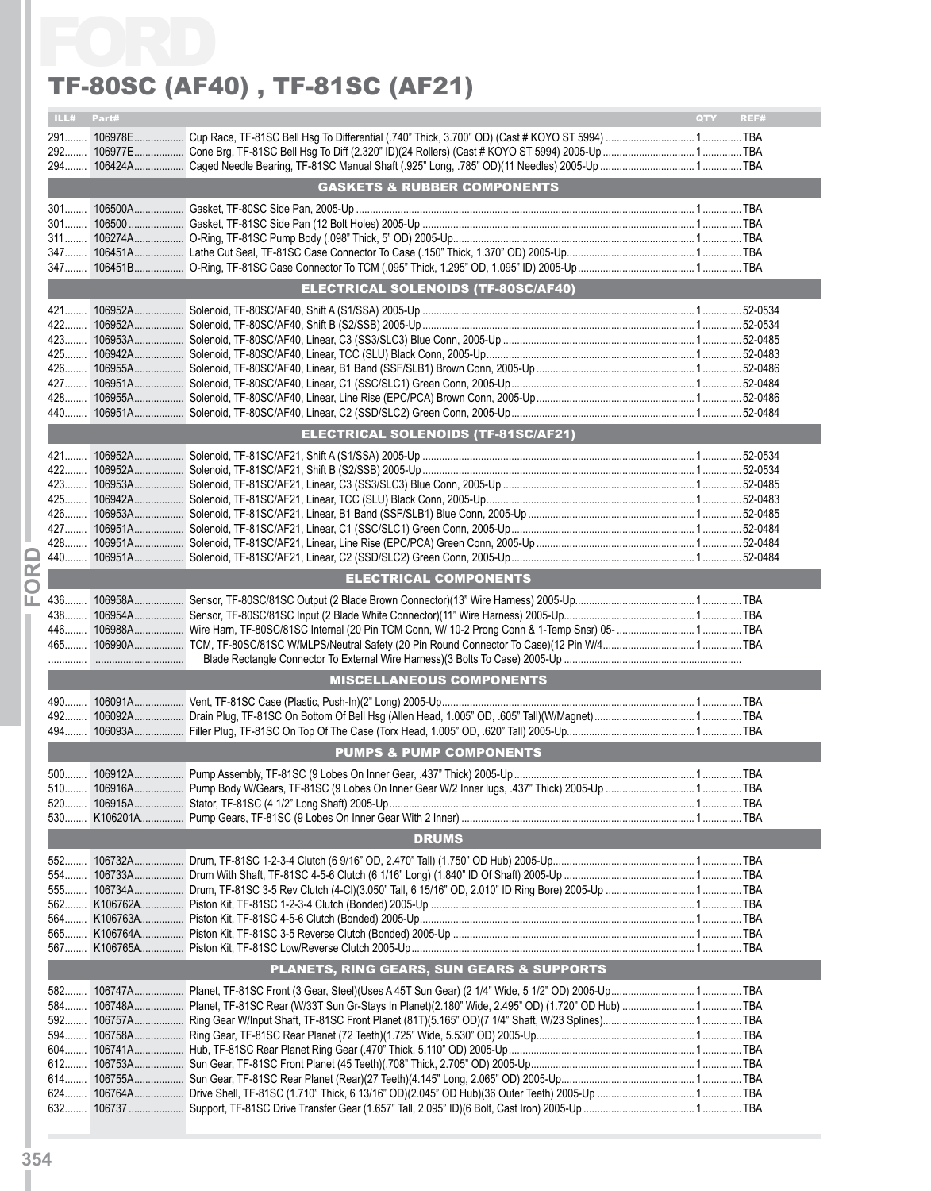|            | TF-80SC (AF40) , TF-81SC (AF21)            |                    |
|------------|--------------------------------------------|--------------------|
| ILL# Part# |                                            | <b>OTY</b><br>REF# |
|            |                                            |                    |
|            |                                            |                    |
|            |                                            |                    |
|            | <b>GASKETS &amp; RUBBER COMPONENTS</b>     |                    |
|            |                                            |                    |
|            |                                            |                    |
|            |                                            |                    |
|            |                                            |                    |
|            |                                            |                    |
|            | <b>ELECTRICAL SOLENOIDS (TF-80SC/AF40)</b> |                    |
|            |                                            |                    |
|            |                                            |                    |
|            |                                            |                    |
|            |                                            |                    |
|            |                                            |                    |
|            |                                            |                    |
|            |                                            |                    |
|            |                                            |                    |
|            | <b>ELECTRICAL SOLENOIDS (TF-81SC/AF21)</b> |                    |
|            |                                            |                    |
|            |                                            |                    |
|            |                                            |                    |
|            |                                            |                    |
|            |                                            |                    |
|            |                                            |                    |
|            |                                            |                    |
|            | <b>ELECTRICAL COMPONENTS</b>               |                    |
|            |                                            |                    |
|            |                                            |                    |
|            |                                            |                    |
|            |                                            |                    |
|            |                                            |                    |
|            | <b>MISCELLANEOUS COMPONENTS</b>            |                    |
| 490        |                                            |                    |
| $492$      |                                            |                    |
| 494        |                                            |                    |
|            | <b>PUMPS &amp; PUMP COMPONENTS</b>         |                    |
| $500$      |                                            |                    |
| 510        |                                            |                    |
|            |                                            |                    |
|            |                                            |                    |
|            | <b>DRUMS</b>                               |                    |
| 552        |                                            |                    |
| 554        |                                            |                    |
|            |                                            |                    |
|            |                                            |                    |
|            |                                            |                    |
|            |                                            |                    |
|            |                                            |                    |
|            | PLANETS, RING GEARS, SUN GEARS & SUPPORTS  |                    |
|            |                                            |                    |
|            |                                            |                    |
|            |                                            |                    |
|            |                                            |                    |
|            |                                            |                    |
|            |                                            |                    |
|            |                                            |                    |